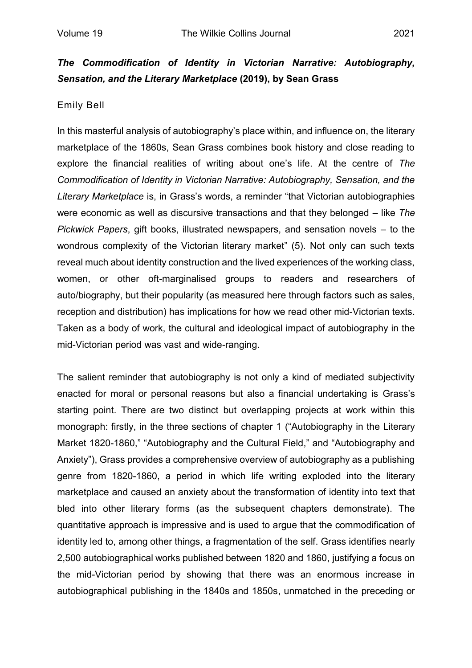## *The Commodification of Identity in Victorian Narrative: Autobiography, Sensation, and the Literary Marketplace* **(2019), by Sean Grass**

## Emily Bell

In this masterful analysis of autobiography's place within, and influence on, the literary marketplace of the 1860s, Sean Grass combines book history and close reading to explore the financial realities of writing about one's life. At the centre of *The Commodification of Identity in Victorian Narrative: Autobiography, Sensation, and the Literary Marketplace* is, in Grass's words, a reminder "that Victorian autobiographies were economic as well as discursive transactions and that they belonged – like *The Pickwick Papers*, gift books, illustrated newspapers, and sensation novels – to the wondrous complexity of the Victorian literary market" (5). Not only can such texts reveal much about identity construction and the lived experiences of the working class, women, or other oft-marginalised groups to readers and researchers of auto/biography, but their popularity (as measured here through factors such as sales, reception and distribution) has implications for how we read other mid-Victorian texts. Taken as a body of work, the cultural and ideological impact of autobiography in the mid-Victorian period was vast and wide-ranging.

The salient reminder that autobiography is not only a kind of mediated subjectivity enacted for moral or personal reasons but also a financial undertaking is Grass's starting point. There are two distinct but overlapping projects at work within this monograph: firstly, in the three sections of chapter 1 ("Autobiography in the Literary Market 1820-1860," "Autobiography and the Cultural Field," and "Autobiography and Anxiety"), Grass provides a comprehensive overview of autobiography as a publishing genre from 1820-1860, a period in which life writing exploded into the literary marketplace and caused an anxiety about the transformation of identity into text that bled into other literary forms (as the subsequent chapters demonstrate). The quantitative approach is impressive and is used to argue that the commodification of identity led to, among other things, a fragmentation of the self. Grass identifies nearly 2,500 autobiographical works published between 1820 and 1860, justifying a focus on the mid-Victorian period by showing that there was an enormous increase in autobiographical publishing in the 1840s and 1850s, unmatched in the preceding or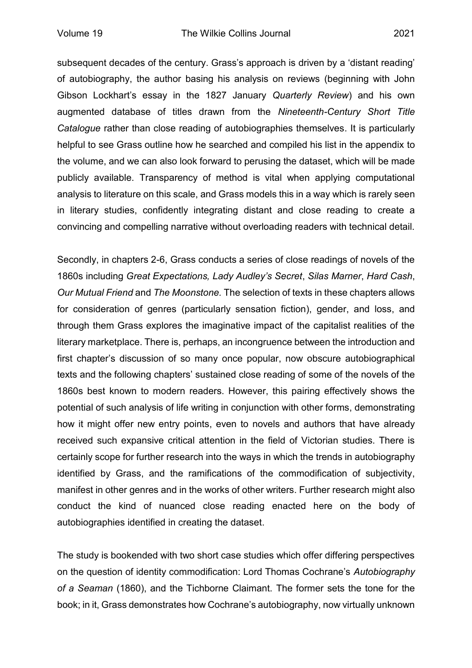subsequent decades of the century. Grass's approach is driven by a 'distant reading' of autobiography, the author basing his analysis on reviews (beginning with John Gibson Lockhart's essay in the 1827 January *Quarterly Review*) and his own augmented database of titles drawn from the *Nineteenth-Century Short Title Catalogue* rather than close reading of autobiographies themselves. It is particularly helpful to see Grass outline how he searched and compiled his list in the appendix to the volume, and we can also look forward to perusing the dataset, which will be made publicly available. Transparency of method is vital when applying computational analysis to literature on this scale, and Grass models this in a way which is rarely seen in literary studies, confidently integrating distant and close reading to create a convincing and compelling narrative without overloading readers with technical detail.

Secondly, in chapters 2-6, Grass conducts a series of close readings of novels of the 1860s including *Great Expectations, Lady Audley's Secret*, *Silas Marner*, *Hard Cash*, *Our Mutual Friend* and *The Moonstone.* The selection of texts in these chapters allows for consideration of genres (particularly sensation fiction), gender, and loss, and through them Grass explores the imaginative impact of the capitalist realities of the literary marketplace. There is, perhaps, an incongruence between the introduction and first chapter's discussion of so many once popular, now obscure autobiographical texts and the following chapters' sustained close reading of some of the novels of the 1860s best known to modern readers. However, this pairing effectively shows the potential of such analysis of life writing in conjunction with other forms, demonstrating how it might offer new entry points, even to novels and authors that have already received such expansive critical attention in the field of Victorian studies. There is certainly scope for further research into the ways in which the trends in autobiography identified by Grass, and the ramifications of the commodification of subjectivity, manifest in other genres and in the works of other writers. Further research might also conduct the kind of nuanced close reading enacted here on the body of autobiographies identified in creating the dataset.

The study is bookended with two short case studies which offer differing perspectives on the question of identity commodification: Lord Thomas Cochrane's *Autobiography of a Seaman* (1860), and the Tichborne Claimant. The former sets the tone for the book; in it, Grass demonstrates how Cochrane's autobiography, now virtually unknown